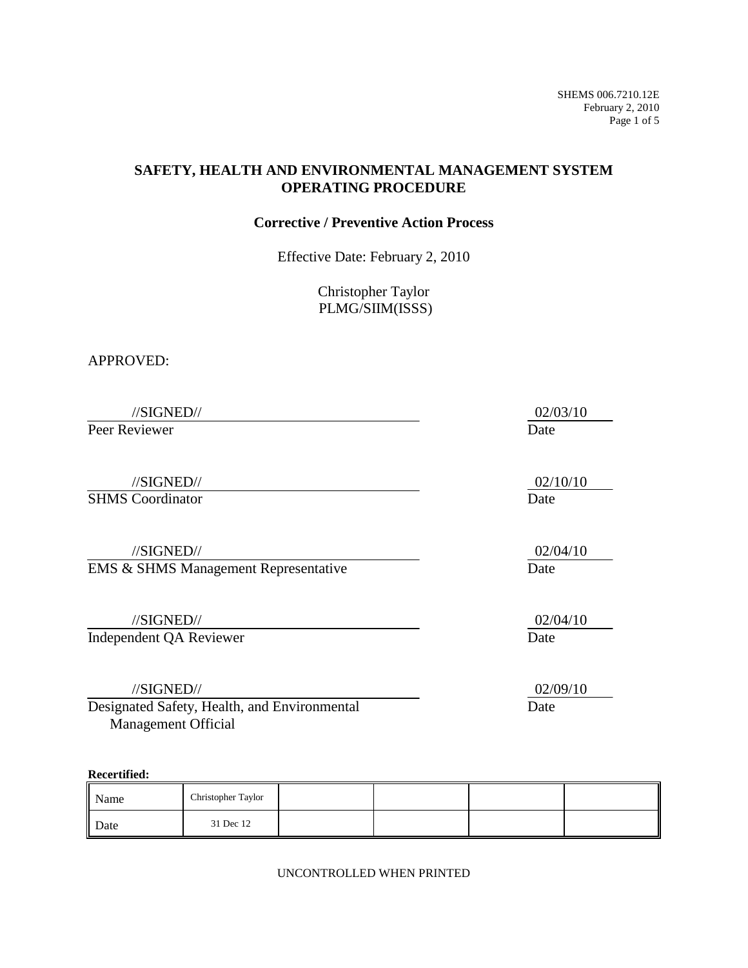SHEMS 006.7210.12E February 2, 2010 Page 1 of 5

## **SAFETY, HEALTH AND ENVIRONMENTAL MANAGEMENT SYSTEM OPERATING PROCEDURE**

### **Corrective / Preventive Action Process**

Effective Date: February 2, 2010

Christopher Taylor PLMG/SIIM(ISSS)

#### APPROVED:

| //SIGNED//                                   | 02/03/10 |
|----------------------------------------------|----------|
| Peer Reviewer                                | Date     |
|                                              |          |
| //SIGNED//                                   | 02/10/10 |
| <b>SHMS</b> Coordinator                      | Date     |
|                                              |          |
| //SIGNED//                                   | 02/04/10 |
| EMS & SHMS Management Representative         | Date     |
|                                              |          |
| //SIGNED//                                   | 02/04/10 |
| Independent QA Reviewer                      | Date     |
|                                              |          |
| //SIGNED//                                   | 02/09/10 |
| Designated Safety, Health, and Environmental | Date     |
| <b>Management Official</b>                   |          |

#### **Recertified:**

| Name | Christopher Taylor |  |  |
|------|--------------------|--|--|
| Date | 31 Dec 12          |  |  |

UNCONTROLLED WHEN PRINTED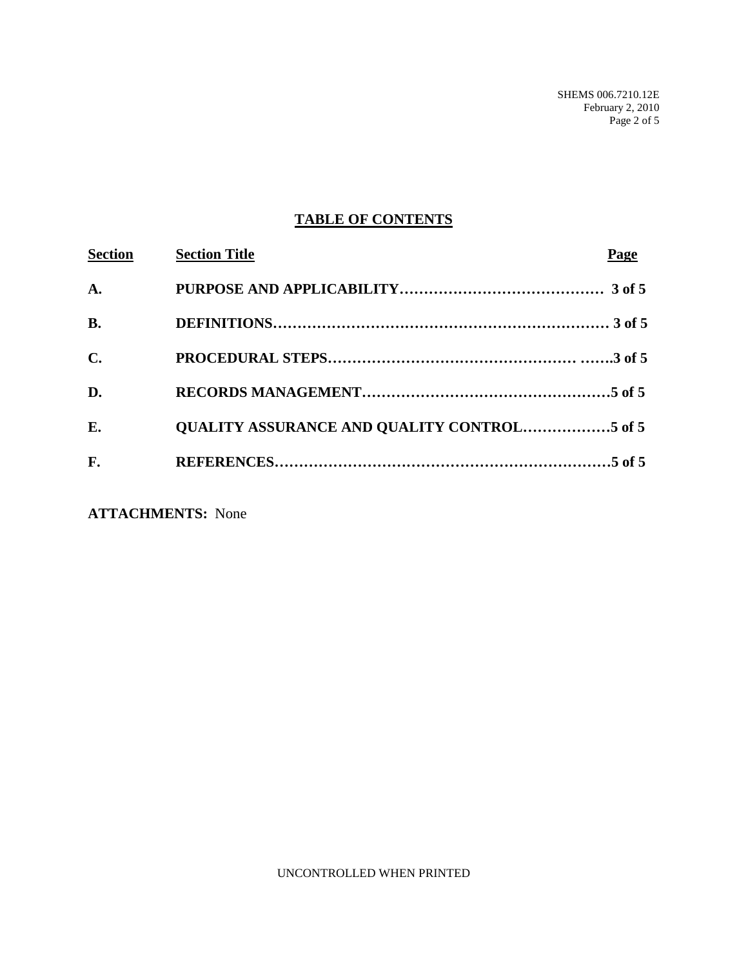# **TABLE OF CONTENTS**

| <b>Section</b> | <b>Section Title</b>                               | Page |
|----------------|----------------------------------------------------|------|
| $\mathbf{A}$ . |                                                    |      |
| <b>B.</b>      |                                                    |      |
| $\mathbf{C}$ . |                                                    |      |
| D.             |                                                    |      |
| E.             | <b>OUALITY ASSURANCE AND OUALITY CONTROL5 of 5</b> |      |
| F.             |                                                    |      |

**ATTACHMENTS:** None

UNCONTROLLED WHEN PRINTED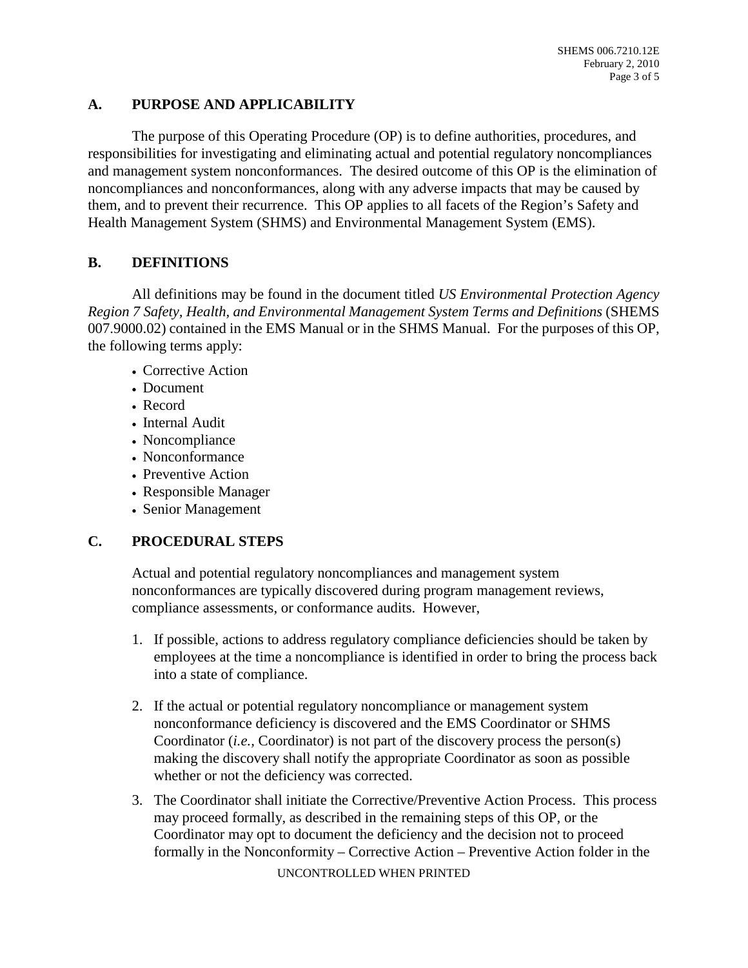## **A. PURPOSE AND APPLICABILITY**

The purpose of this Operating Procedure (OP) is to define authorities, procedures, and responsibilities for investigating and eliminating actual and potential regulatory noncompliances and management system nonconformances. The desired outcome of this OP is the elimination of noncompliances and nonconformances, along with any adverse impacts that may be caused by them, and to prevent their recurrence. This OP applies to all facets of the Region's Safety and Health Management System (SHMS) and Environmental Management System (EMS).

## **B. DEFINITIONS**

All definitions may be found in the document titled *US Environmental Protection Agency Region 7 Safety, Health, and Environmental Management System Terms and Definitions* (SHEMS 007.9000.02) contained in the EMS Manual or in the SHMS Manual. For the purposes of this OP, the following terms apply:

- Corrective Action
- Document
- Record
- Internal Audit
- Noncompliance
- Nonconformance
- Preventive Action
- Responsible Manager
- Senior Management

# **C. PROCEDURAL STEPS**

Actual and potential regulatory noncompliances and management system nonconformances are typically discovered during program management reviews, compliance assessments, or conformance audits. However,

- 1. If possible, actions to address regulatory compliance deficiencies should be taken by employees at the time a noncompliance is identified in order to bring the process back into a state of compliance.
- 2. If the actual or potential regulatory noncompliance or management system nonconformance deficiency is discovered and the EMS Coordinator or SHMS Coordinator (*i.e.,* Coordinator) is not part of the discovery process the person(s) making the discovery shall notify the appropriate Coordinator as soon as possible whether or not the deficiency was corrected.
- 3. The Coordinator shall initiate the Corrective/Preventive Action Process. This process may proceed formally, as described in the remaining steps of this OP, or the Coordinator may opt to document the deficiency and the decision not to proceed formally in the Nonconformity – Corrective Action – Preventive Action folder in the

UNCONTROLLED WHEN PRINTED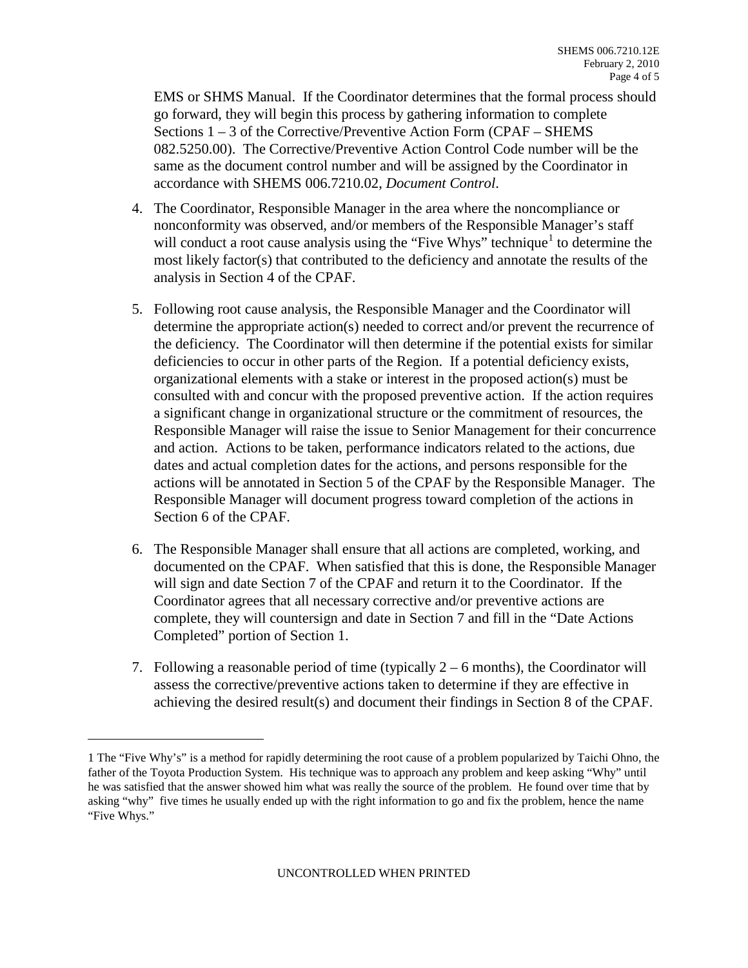EMS or SHMS Manual. If the Coordinator determines that the formal process should go forward, they will begin this process by gathering information to complete Sections 1 – 3 of the Corrective/Preventive Action Form (CPAF – SHEMS 082.5250.00). The Corrective/Preventive Action Control Code number will be the same as the document control number and will be assigned by the Coordinator in accordance with SHEMS 006.7210.02, *Document Control*.

- 4. The Coordinator, Responsible Manager in the area where the noncompliance or nonconformity was observed, and/or members of the Responsible Manager's staff will conduct a root cause analysis using the "Five Whys" technique<sup>[1](#page-3-0)</sup> to determine the most likely factor(s) that contributed to the deficiency and annotate the results of the analysis in Section 4 of the CPAF.
- 5. Following root cause analysis, the Responsible Manager and the Coordinator will determine the appropriate action(s) needed to correct and/or prevent the recurrence of the deficiency. The Coordinator will then determine if the potential exists for similar deficiencies to occur in other parts of the Region. If a potential deficiency exists, organizational elements with a stake or interest in the proposed action(s) must be consulted with and concur with the proposed preventive action. If the action requires a significant change in organizational structure or the commitment of resources, the Responsible Manager will raise the issue to Senior Management for their concurrence and action. Actions to be taken, performance indicators related to the actions, due dates and actual completion dates for the actions, and persons responsible for the actions will be annotated in Section 5 of the CPAF by the Responsible Manager. The Responsible Manager will document progress toward completion of the actions in Section 6 of the CPAF.
- 6. The Responsible Manager shall ensure that all actions are completed, working, and documented on the CPAF. When satisfied that this is done, the Responsible Manager will sign and date Section 7 of the CPAF and return it to the Coordinator. If the Coordinator agrees that all necessary corrective and/or preventive actions are complete, they will countersign and date in Section 7 and fill in the "Date Actions Completed" portion of Section 1.
- 7. Following a reasonable period of time (typically  $2 6$  months), the Coordinator will assess the corrective/preventive actions taken to determine if they are effective in achieving the desired result(s) and document their findings in Section 8 of the CPAF.

i

<span id="page-3-0"></span><sup>1</sup> The "Five Why's" is a method for rapidly determining the root cause of a problem popularized by Taichi Ohno, the father of the Toyota Production System. His technique was to approach any problem and keep asking "Why" until he was satisfied that the answer showed him what was really the source of the problem. He found over time that by asking "why" five times he usually ended up with the right information to go and fix the problem, hence the name "Five Whys."